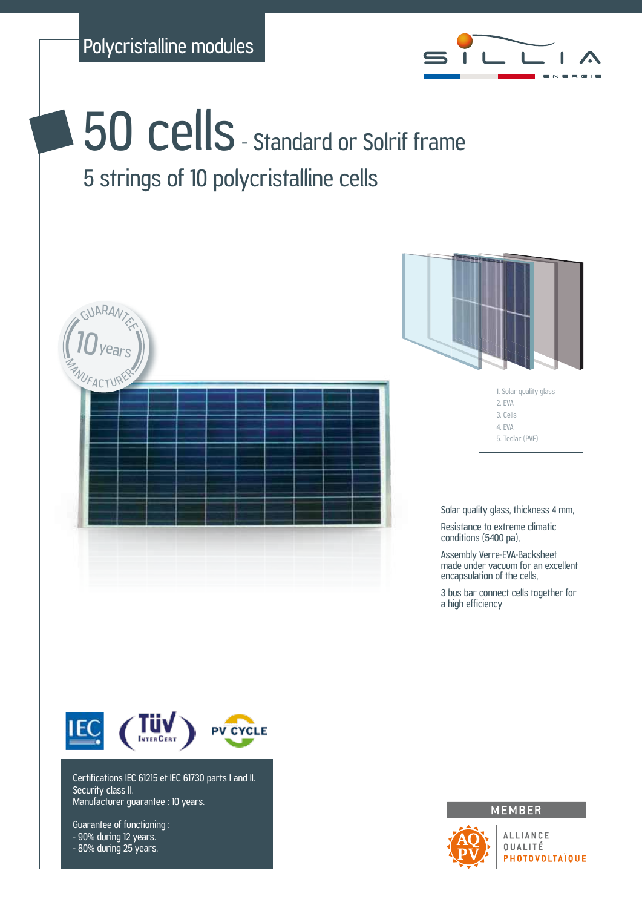

**50 cells** - Standard or Solrif frame 5 strings of 10 polycristalline cells



Certifications IEC 61215 et IEC 61730 parts I and II. Security class II. Manufacturer guarantee : 10 years.

Guarantee of functioning : - 90% during 12 years. - 80% during 25 years.